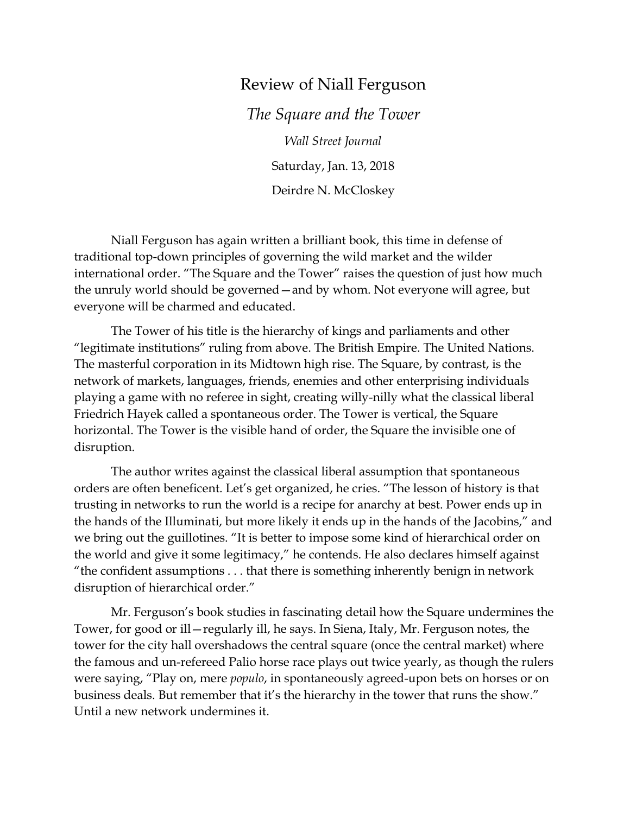## Review of Niall Ferguson

*The Square and the Tower Wall Street Journal* Saturday, Jan. 13, 2018 Deirdre N. McCloskey

Niall Ferguson has again written a brilliant book, this time in defense of traditional top-down principles of governing the wild market and the wilder international order. "The Square and the Tower" raises the question of just how much the unruly world should be governed—and by whom. Not everyone will agree, but everyone will be charmed and educated.

The Tower of his title is the hierarchy of kings and parliaments and other "legitimate institutions" ruling from above. The British Empire. The United Nations. The masterful corporation in its Midtown high rise. The Square, by contrast, is the network of markets, languages, friends, enemies and other enterprising individuals playing a game with no referee in sight, creating willy-nilly what the classical liberal Friedrich Hayek called a spontaneous order. The Tower is vertical, the Square horizontal. The Tower is the visible hand of order, the Square the invisible one of disruption.

The author writes against the classical liberal assumption that spontaneous orders are often beneficent. Let's get organized, he cries. "The lesson of history is that trusting in networks to run the world is a recipe for anarchy at best. Power ends up in the hands of the Illuminati, but more likely it ends up in the hands of the Jacobins," and we bring out the guillotines. "It is better to impose some kind of hierarchical order on the world and give it some legitimacy," he contends. He also declares himself against "the confident assumptions . . . that there is something inherently benign in network disruption of hierarchical order."

Mr. Ferguson's book studies in fascinating detail how the Square undermines the Tower, for good or ill—regularly ill, he says. In Siena, Italy, Mr. Ferguson notes, the tower for the city hall overshadows the central square (once the central market) where the famous and un-refereed Palio horse race plays out twice yearly, as though the rulers were saying, "Play on, mere *populo*, in spontaneously agreed-upon bets on horses or on business deals. But remember that it's the hierarchy in the tower that runs the show." Until a new network undermines it.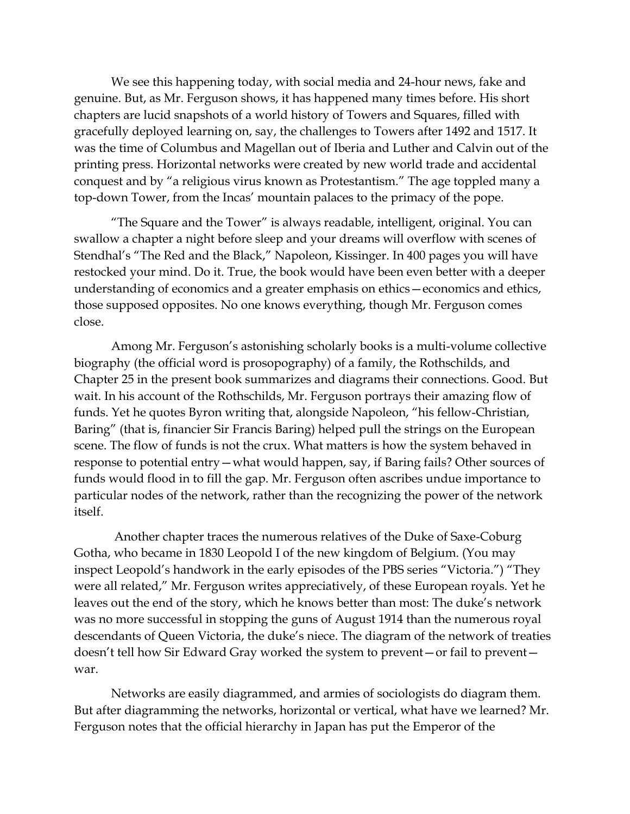We see this happening today, with social media and 24-hour news, fake and genuine. But, as Mr. Ferguson shows, it has happened many times before. His short chapters are lucid snapshots of a world history of Towers and Squares, filled with gracefully deployed learning on, say, the challenges to Towers after 1492 and 1517. It was the time of Columbus and Magellan out of Iberia and Luther and Calvin out of the printing press. Horizontal networks were created by new world trade and accidental conquest and by "a religious virus known as Protestantism." The age toppled many a top-down Tower, from the Incas' mountain palaces to the primacy of the pope.

"The Square and the Tower" is always readable, intelligent, original. You can swallow a chapter a night before sleep and your dreams will overflow with scenes of Stendhal's "The Red and the Black," Napoleon, Kissinger. In 400 pages you will have restocked your mind. Do it. True, the book would have been even better with a deeper understanding of economics and a greater emphasis on ethics—economics and ethics, those supposed opposites. No one knows everything, though Mr. Ferguson comes close.

Among Mr. Ferguson's astonishing scholarly books is a multi-volume collective biography (the official word is prosopography) of a family, the Rothschilds, and Chapter 25 in the present book summarizes and diagrams their connections. Good. But wait. In his account of the Rothschilds, Mr. Ferguson portrays their amazing flow of funds. Yet he quotes Byron writing that, alongside Napoleon, "his fellow-Christian, Baring" (that is, financier Sir Francis Baring) helped pull the strings on the European scene. The flow of funds is not the crux. What matters is how the system behaved in response to potential entry—what would happen, say, if Baring fails? Other sources of funds would flood in to fill the gap. Mr. Ferguson often ascribes undue importance to particular nodes of the network, rather than the recognizing the power of the network itself.

Another chapter traces the numerous relatives of the Duke of Saxe-Coburg Gotha, who became in 1830 Leopold I of the new kingdom of Belgium. (You may inspect Leopold's handwork in the early episodes of the PBS series "Victoria.") "They were all related," Mr. Ferguson writes appreciatively, of these European royals. Yet he leaves out the end of the story, which he knows better than most: The duke's network was no more successful in stopping the guns of August 1914 than the numerous royal descendants of Queen Victoria, the duke's niece. The diagram of the network of treaties doesn't tell how Sir Edward Gray worked the system to prevent—or fail to prevent war.

Networks are easily diagrammed, and armies of sociologists do diagram them. But after diagramming the networks, horizontal or vertical, what have we learned? Mr. Ferguson notes that the official hierarchy in Japan has put the Emperor of the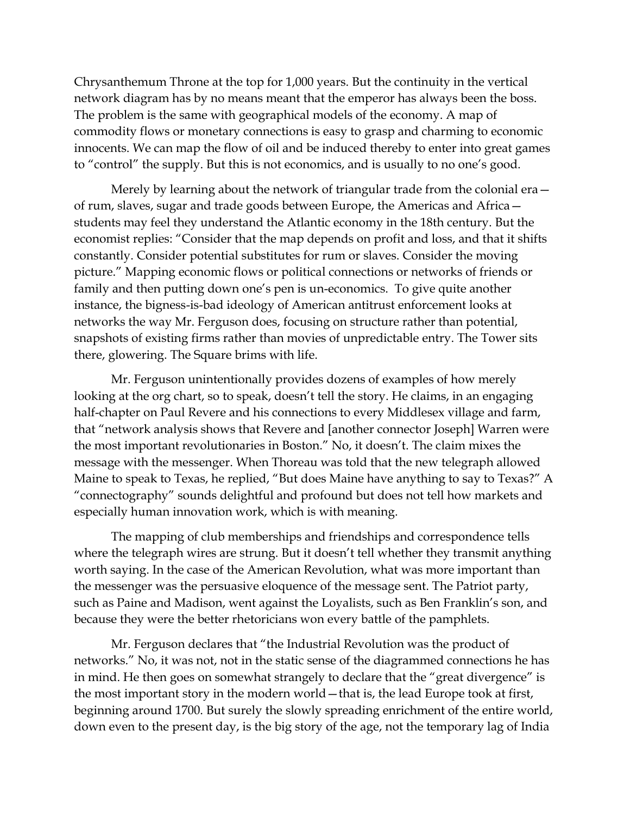Chrysanthemum Throne at the top for 1,000 years. But the continuity in the vertical network diagram has by no means meant that the emperor has always been the boss. The problem is the same with geographical models of the economy. A map of commodity flows or monetary connections is easy to grasp and charming to economic innocents. We can map the flow of oil and be induced thereby to enter into great games to "control" the supply. But this is not economics, and is usually to no one's good.

Merely by learning about the network of triangular trade from the colonial era of rum, slaves, sugar and trade goods between Europe, the Americas and Africa students may feel they understand the Atlantic economy in the 18th century. But the economist replies: "Consider that the map depends on profit and loss, and that it shifts constantly. Consider potential substitutes for rum or slaves. Consider the moving picture." Mapping economic flows or political connections or networks of friends or family and then putting down one's pen is un-economics. To give quite another instance, the bigness-is-bad ideology of American antitrust enforcement looks at networks the way Mr. Ferguson does, focusing on structure rather than potential, snapshots of existing firms rather than movies of unpredictable entry. The Tower sits there, glowering. The Square brims with life.

Mr. Ferguson unintentionally provides dozens of examples of how merely looking at the org chart, so to speak, doesn't tell the story. He claims, in an engaging half-chapter on Paul Revere and his connections to every Middlesex village and farm, that "network analysis shows that Revere and [another connector Joseph] Warren were the most important revolutionaries in Boston." No, it doesn't. The claim mixes the message with the messenger. When Thoreau was told that the new telegraph allowed Maine to speak to Texas, he replied, "But does Maine have anything to say to Texas?" A "connectography" sounds delightful and profound but does not tell how markets and especially human innovation work, which is with meaning.

The mapping of club memberships and friendships and correspondence tells where the telegraph wires are strung. But it doesn't tell whether they transmit anything worth saying. In the case of the American Revolution, what was more important than the messenger was the persuasive eloquence of the message sent. The Patriot party, such as Paine and Madison, went against the Loyalists, such as Ben Franklin's son, and because they were the better rhetoricians won every battle of the pamphlets.

Mr. Ferguson declares that "the Industrial Revolution was the product of networks." No, it was not, not in the static sense of the diagrammed connections he has in mind. He then goes on somewhat strangely to declare that the "great divergence" is the most important story in the modern world—that is, the lead Europe took at first, beginning around 1700. But surely the slowly spreading enrichment of the entire world, down even to the present day, is the big story of the age, not the temporary lag of India